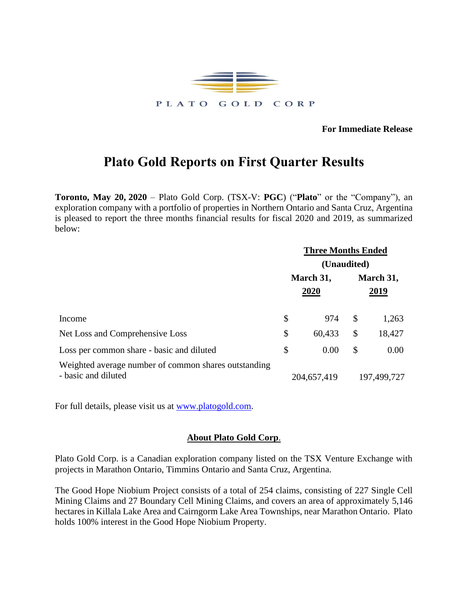

**For Immediate Release**

## **Plato Gold Reports on First Quarter Results**

**Toronto, May 20, 2020** – Plato Gold Corp. (TSX-V: **PGC**) ("**Plato**" or the "Company"), an exploration company with a portfolio of properties in Northern Ontario and Santa Cruz, Argentina is pleased to report the three months financial results for fiscal 2020 and 2019, as summarized below:

|                                                                             |                   | <b>Three Months Ended</b> |                          |             |  |
|-----------------------------------------------------------------------------|-------------------|---------------------------|--------------------------|-------------|--|
|                                                                             | (Unaudited)       |                           |                          |             |  |
|                                                                             | March 31,<br>2020 |                           | March 31,<br><u>2019</u> |             |  |
| Income                                                                      | \$                | 974                       | $\mathbb{S}$             | 1,263       |  |
| Net Loss and Comprehensive Loss                                             | \$                | 60,433                    | \$                       | 18,427      |  |
| Loss per common share - basic and diluted                                   | \$                | 0.00                      | \$                       | 0.00        |  |
| Weighted average number of common shares outstanding<br>- basic and diluted |                   | 204,657,419               |                          | 197,499,727 |  |

For full details, please visit us at [www.platogold.com.](http://www.platogold.com/)

## **About Plato Gold Corp**.

Plato Gold Corp. is a Canadian exploration company listed on the TSX Venture Exchange with projects in Marathon Ontario, Timmins Ontario and Santa Cruz, Argentina.

The Good Hope Niobium Project consists of a total of 254 claims, consisting of 227 Single Cell Mining Claims and 27 Boundary Cell Mining Claims, and covers an area of approximately 5,146 hectares in Killala Lake Area and Cairngorm Lake Area Townships, near Marathon Ontario. Plato holds 100% interest in the Good Hope Niobium Property.